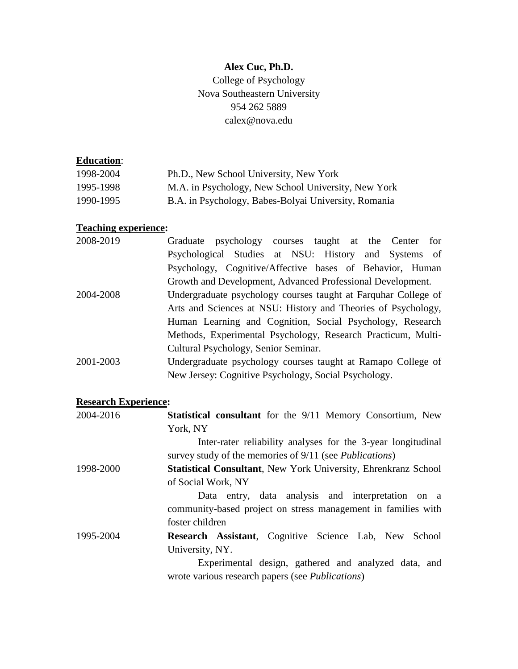# **Alex Cuc, Ph.D.**

College of Psychology Nova Southeastern University 954 262 5889 calex@nova.edu

## **Education**:

| 1998-2004 | Ph.D., New School University, New York               |
|-----------|------------------------------------------------------|
| 1995-1998 | M.A. in Psychology, New School University, New York  |
| 1990-1995 | B.A. in Psychology, Babes-Bolyai University, Romania |

# **Teaching experience:**

| 2008-2019 | Graduate psychology courses taught at the Center for           |
|-----------|----------------------------------------------------------------|
|           | Psychological Studies at NSU: History and Systems of           |
|           | Psychology, Cognitive/Affective bases of Behavior, Human       |
|           | Growth and Development, Advanced Professional Development.     |
| 2004-2008 | Undergraduate psychology courses taught at Farquhar College of |
|           | Arts and Sciences at NSU: History and Theories of Psychology,  |
|           | Human Learning and Cognition, Social Psychology, Research      |
|           | Methods, Experimental Psychology, Research Practicum, Multi-   |
|           | Cultural Psychology, Senior Seminar.                           |
| 2001-2003 | Undergraduate psychology courses taught at Ramapo College of   |
|           | New Jersey: Cognitive Psychology, Social Psychology.           |

## **Research Experience:**

| 2004-2016 | <b>Statistical consultant</b> for the 9/11 Memory Consortium, New      |
|-----------|------------------------------------------------------------------------|
|           | York, NY                                                               |
|           | Inter-rater reliability analyses for the 3-year longitudinal           |
|           | survey study of the memories of 9/11 (see <i>Publications</i> )        |
| 1998-2000 | <b>Statistical Consultant</b> , New York University, Ehrenkranz School |
|           | of Social Work, NY                                                     |
|           | Data entry, data analysis and interpretation on a                      |
|           | community-based project on stress management in families with          |
|           | foster children                                                        |
| 1995-2004 | <b>Research Assistant</b> , Cognitive Science Lab, New School          |
|           | University, NY.                                                        |
|           | Experimental design, gathered and analyzed data, and                   |
|           | wrote various research papers (see <i>Publications</i> )               |
|           |                                                                        |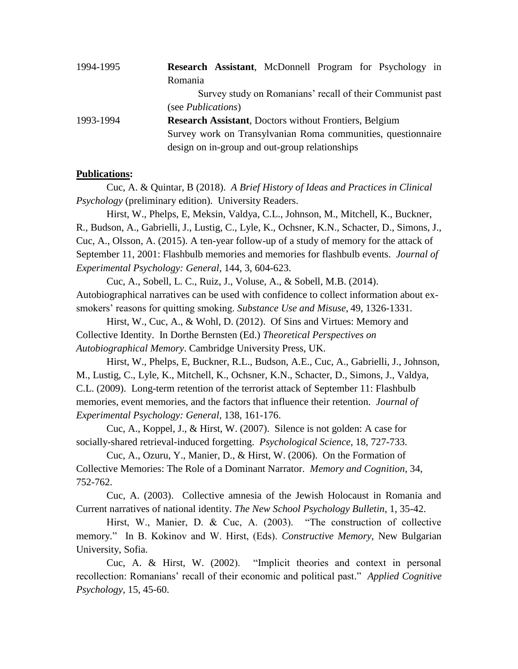| 1994-1995 | Research Assistant, McDonnell Program for Psychology in       |
|-----------|---------------------------------------------------------------|
|           | Romania                                                       |
|           | Survey study on Romanians' recall of their Communist past     |
|           | (see <i>Publications</i> )                                    |
| 1993-1994 | <b>Research Assistant, Doctors without Frontiers, Belgium</b> |
|           | Survey work on Transylvanian Roma communities, questionnaire  |
|           | design on in-group and out-group relationships                |

### **Publications:**

Cuc, A. & Quintar, B (2018). *A Brief History of Ideas and Practices in Clinical Psychology* (preliminary edition). University Readers.

Hirst, W., Phelps, E, Meksin, Valdya, C.L., Johnson, M., Mitchell, K., Buckner, R., Budson, A., Gabrielli, J., Lustig, C., Lyle, K., Ochsner, K.N., Schacter, D., Simons, J., Cuc, A., Olsson, A. (2015). A ten-year follow-up of a study of memory for the attack of September 11, 2001: Flashbulb memories and memories for flashbulb events. *Journal of Experimental Psychology: General,* 144, 3, 604-623.

Cuc, A., Sobell, L. C., Ruiz, J., Voluse, A., & Sobell, M.B. (2014). Autobiographical narratives can be used with confidence to collect information about exsmokers' reasons for quitting smoking. *Substance Use and Misuse*, 49, 1326-1331.

Hirst, W., Cuc, A., & Wohl, D. (2012). Of Sins and Virtues: Memory and Collective Identity. In Dorthe Bernsten (Ed.) *Theoretical Perspectives on Autobiographical Memory*. Cambridge University Press, UK.

Hirst, W., Phelps, E, Buckner, R.L., Budson, A.E., Cuc, A., Gabrielli, J., Johnson, M., Lustig, C., Lyle, K., Mitchell, K., Ochsner, K.N., Schacter, D., Simons, J., Valdya, C.L. (2009). Long-term retention of the terrorist attack of September 11: Flashbulb memories, event memories, and the factors that influence their retention. *Journal of Experimental Psychology: General*, 138, 161-176.

Cuc, A., Koppel, J., & Hirst, W. (2007). Silence is not golden: A case for socially-shared retrieval-induced forgetting. *Psychological Science*, 18, 727-733.

Cuc, A., Ozuru, Y., Manier, D., & Hirst, W. (2006). On the Formation of Collective Memories: The Role of a Dominant Narrator. *Memory and Cognition*, 34, 752-762.

Cuc, A. (2003). Collective amnesia of the Jewish Holocaust in Romania and Current narratives of national identity. *The New School Psychology Bulletin*, 1, 35-42.

Hirst, W., Manier, D. & Cuc, A. (2003). "The construction of collective memory." In B. Kokinov and W. Hirst, (Eds). *Constructive Memory*, New Bulgarian University, Sofia.

Cuc, A. & Hirst, W. (2002). "Implicit theories and context in personal recollection: Romanians' recall of their economic and political past." *Applied Cognitive Psychology*, 15, 45-60.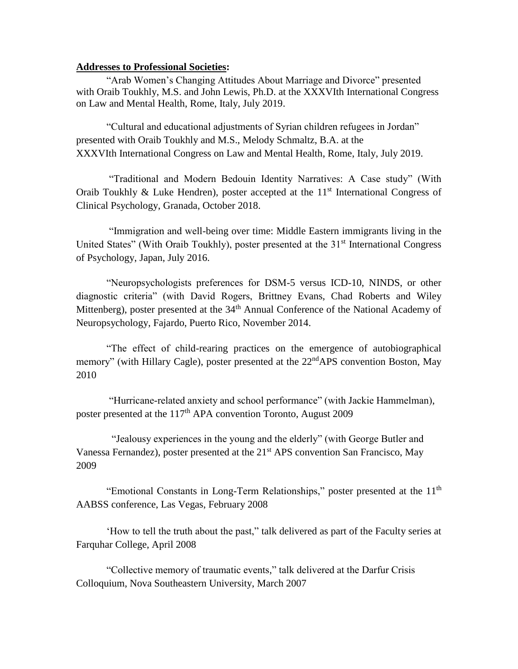#### **Addresses to Professional Societies:**

"Arab Women's Changing Attitudes About Marriage and Divorce" presented with Oraib Toukhly, M.S. and John Lewis, Ph.D. at the XXXVIth International Congress on Law and Mental Health, Rome, Italy, July 2019.

"Cultural and educational adjustments of Syrian children refugees in Jordan" presented with Oraib Toukhly and M.S., Melody Schmaltz, B.A. at the XXXVIth International Congress on Law and Mental Health, Rome, Italy, July 2019.

"Traditional and Modern Bedouin Identity Narratives: A Case study" (With Oraib Toukhly & Luke Hendren), poster accepted at the 11<sup>st</sup> International Congress of Clinical Psychology, Granada, October 2018.

"Immigration and well-being over time: Middle Eastern immigrants living in the United States" (With Oraib Toukhly), poster presented at the  $31<sup>st</sup>$  International Congress of Psychology, Japan, July 2016.

"Neuropsychologists preferences for DSM-5 versus ICD-10, NINDS, or other diagnostic criteria" (with David Rogers, Brittney Evans, Chad Roberts and Wiley Mittenberg), poster presented at the 34<sup>th</sup> Annual Conference of the National Academy of Neuropsychology, Fajardo, Puerto Rico, November 2014.

"The effect of child-rearing practices on the emergence of autobiographical memory" (with Hillary Cagle), poster presented at the 22<sup>nd</sup>APS convention Boston, May 2010

"Hurricane-related anxiety and school performance" (with Jackie Hammelman), poster presented at the 117<sup>th</sup> APA convention Toronto, August 2009

 "Jealousy experiences in the young and the elderly" (with George Butler and Vanessa Fernandez), poster presented at the 21<sup>st</sup> APS convention San Francisco, May 2009

"Emotional Constants in Long-Term Relationships," poster presented at the 11<sup>th</sup> AABSS conference, Las Vegas, February 2008

'How to tell the truth about the past," talk delivered as part of the Faculty series at Farquhar College, April 2008

"Collective memory of traumatic events," talk delivered at the Darfur Crisis Colloquium, Nova Southeastern University, March 2007